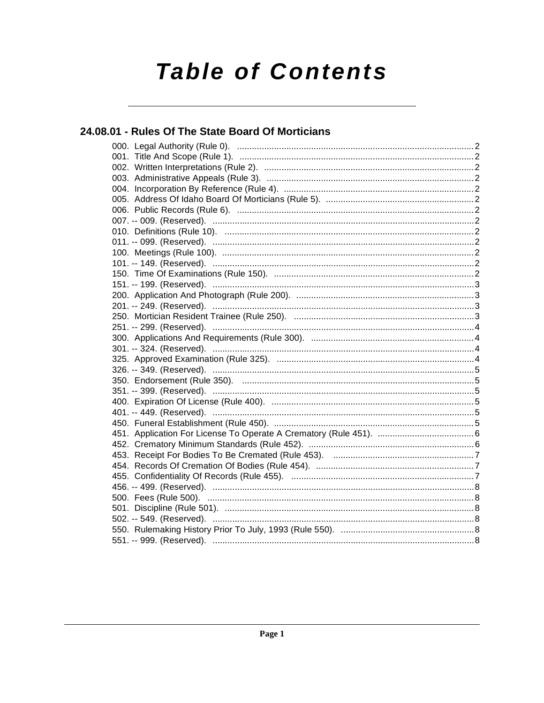# **Table of Contents**

### 24.08.01 - Rules Of The State Board Of Morticians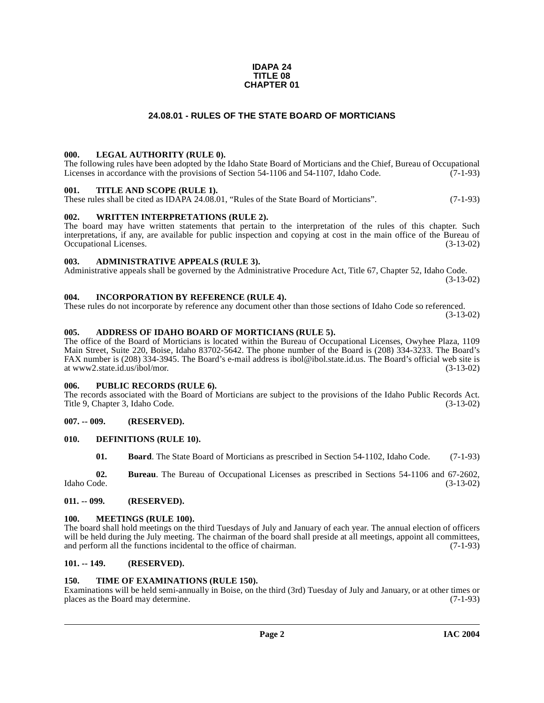#### **IDAPA 24 TITLE 08 CHAPTER 01**

#### **24.08.01 - RULES OF THE STATE BOARD OF MORTICIANS**

#### <span id="page-1-1"></span><span id="page-1-0"></span>**000. LEGAL AUTHORITY (RULE 0).**

The following rules have been adopted by the Idaho State Board of Morticians and the Chief, Bureau of Occupational Licenses in accordance with the provisions of Section 54-1106 and 54-1107, Idaho Code. (7-1-93)

#### <span id="page-1-2"></span>**001. TITLE AND SCOPE (RULE 1).**

These rules shall be cited as IDAPA 24.08.01, "Rules of the State Board of Morticians". (7-1-93)

#### <span id="page-1-3"></span>**002. WRITTEN INTERPRETATIONS (RULE 2).**

The board may have written statements that pertain to the interpretation of the rules of this chapter. Such interpretations, if any, are available for public inspection and copying at cost in the main office of the Bureau of Occupational Licenses. (3-13-02) Occupational Licenses.

#### <span id="page-1-4"></span>**003. ADMINISTRATIVE APPEALS (RULE 3).**

Administrative appeals shall be governed by the Administrative Procedure Act, Title 67, Chapter 52, Idaho Code. (3-13-02)

#### <span id="page-1-5"></span>**004. INCORPORATION BY REFERENCE (RULE 4).**

These rules do not incorporate by reference any document other than those sections of Idaho Code so referenced. (3-13-02)

#### <span id="page-1-6"></span>**005. ADDRESS OF IDAHO BOARD OF MORTICIANS (RULE 5).**

[The office of the Board of Morticians is located within the Bureau of Occupational Licenses, Owyhee Plaza, 1109](http://www2.state.id.us/ibol/mor) Main Street, Suite 220, Boise, Idaho 83702-5642. The phone number of the Board is (208) 334-3233. The Board's FAX number is (208) 334-3945. The Board's e-mail address is ibol@ibol.state.id.us. The Board's official web site is at www2.state.id.us/ibol/mor. (3-13-02)

#### <span id="page-1-7"></span>**006. PUBLIC RECORDS (RULE 6).**

The records associated with the Board of Morticians are subject to the provisions of the Idaho Public Records Act.<br>Title 9, Chapter 3, Idaho Code. (3-13-02) Title 9, Chapter 3, Idaho Code.

#### <span id="page-1-8"></span>**007. -- 009. (RESERVED).**

#### <span id="page-1-9"></span>**010. DEFINITIONS (RULE 10).**

<span id="page-1-14"></span>**01. Board**. The State Board of Morticians as prescribed in Section 54-1102, Idaho Code. (7-1-93)

**02.** Bureau. The Bureau of Occupational Licenses as prescribed in Sections 54-1106 and 67-2602, Idaho Code. (3-13-02) Idaho Code. (3-13-02)

#### <span id="page-1-10"></span>**011. -- 099. (RESERVED).**

#### <span id="page-1-15"></span><span id="page-1-11"></span>**100. MEETINGS (RULE 100).**

The board shall hold meetings on the third Tuesdays of July and January of each year. The annual election of officers will be held during the July meeting. The chairman of the board shall preside at all meetings, appoint all committees, and perform all the functions incidental to the office of chairman. (7-1-93) and perform all the functions incidental to the office of chairman.

#### <span id="page-1-12"></span>**101. -- 149. (RESERVED).**

#### <span id="page-1-16"></span><span id="page-1-13"></span>**150. TIME OF EXAMINATIONS (RULE 150).**

Examinations will be held semi-annually in Boise, on the third (3rd) Tuesday of July and January, or at other times or places as the Board may determine.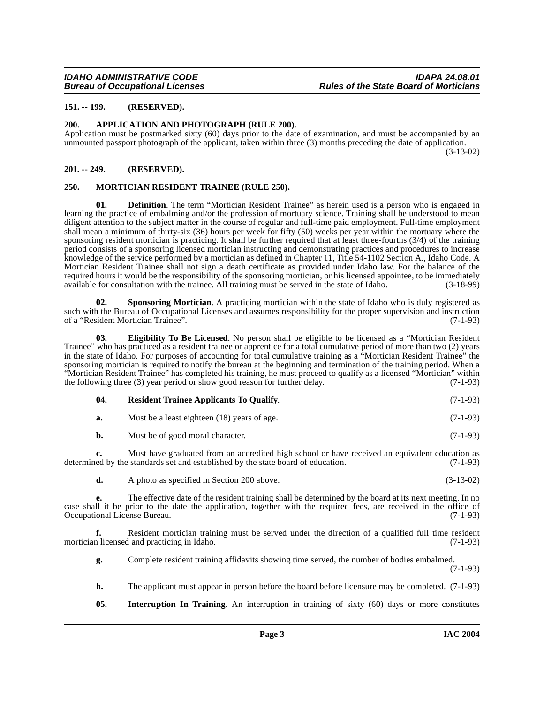#### <span id="page-2-0"></span>**151. -- 199. (RESERVED).**

#### <span id="page-2-4"></span><span id="page-2-1"></span>**200. APPLICATION AND PHOTOGRAPH (RULE 200).**

Application must be postmarked sixty (60) days prior to the date of examination, and must be accompanied by an unmounted passport photograph of the applicant, taken within three (3) months preceding the date of application. (3-13-02)

#### <span id="page-2-2"></span>**201. -- 249. (RESERVED).**

#### <span id="page-2-7"></span><span id="page-2-3"></span>**250. MORTICIAN RESIDENT TRAINEE (RULE 250).**

**Definition**. The term "Mortician Resident Trainee" as herein used is a person who is engaged in learning the practice of embalming and/or the profession of mortuary science. Training shall be understood to mean diligent attention to the subject matter in the course of regular and full-time paid employment. Full-time employment shall mean a minimum of thirty-six (36) hours per week for fifty (50) weeks per year within the mortuary where the sponsoring resident mortician is practicing. It shall be further required that at least three-fourths (3/4) of the training period consists of a sponsoring licensed mortician instructing and demonstrating practices and procedures to increase knowledge of the service performed by a mortician as defined in Chapter 11, Title 54-1102 Section A., Idaho Code. A Mortician Resident Trainee shall not sign a death certificate as provided under Idaho law. For the balance of the required hours it would be the responsibility of the sponsoring mortician, or his licensed appointee, to be immediately available for consultation with the trainee. All training must be served in the state of Idaho. (3-18available for consultation with the trainee. All training must be served in the state of Idaho.

<span id="page-2-9"></span>**02.** Sponsoring Mortician. A practicing mortician within the state of Idaho who is duly registered as such with the Bureau of Occupational Licenses and assumes responsibility for the proper supervision and instruction of a "Resident Mortician Trainee". (7-1-93)

<span id="page-2-5"></span>**03. Eligibility To Be Licensed**. No person shall be eligible to be licensed as a "Mortician Resident Trainee" who has practiced as a resident trainee or apprentice for a total cumulative period of more than two (2) years in the state of Idaho. For purposes of accounting for total cumulative training as a "Mortician Resident Trainee" the sponsoring mortician is required to notify the bureau at the beginning and termination of the training period. When a "Mortician Resident Trainee" has completed his training, he must proceed to qualify as a licensed "Mortician" within the following three (3) year period or show good reason for further delay. (7-1-93)

<span id="page-2-8"></span>

| - 04. | <b>Resident Trainee Applicants To Qualify.</b> | $(7-1-93)$ |
|-------|------------------------------------------------|------------|
|       |                                                |            |

| a. | Must be a least eighteen (18) years of age. | $(7-1-93)$ |
|----|---------------------------------------------|------------|
|----|---------------------------------------------|------------|

**b.** Must be of good moral character. (7-1-93)

**c.** Must have graduated from an accredited high school or have received an equivalent education as ed by the standards set and established by the state board of education. (7-1-93) determined by the standards set and established by the state board of education.

**d.** A photo as specified in Section 200 above. (3-13-02)

**e.** The effective date of the resident training shall be determined by the board at its next meeting. In no case shall it be prior to the date the application, together with the required fees, are received in the office of Occupational License Bureau. (7-1-93)

**f.** Resident mortician training must be served under the direction of a qualified full time resident n licensed and practicing in Idaho. (7-1-93) mortician licensed and practicing in Idaho.

**g.** Complete resident training affidavits showing time served, the number of bodies embalmed.

(7-1-93)

- **h.** The applicant must appear in person before the board before licensure may be completed. (7-1-93)
- <span id="page-2-6"></span>**05. Interruption In Training**. An interruption in training of sixty (60) days or more constitutes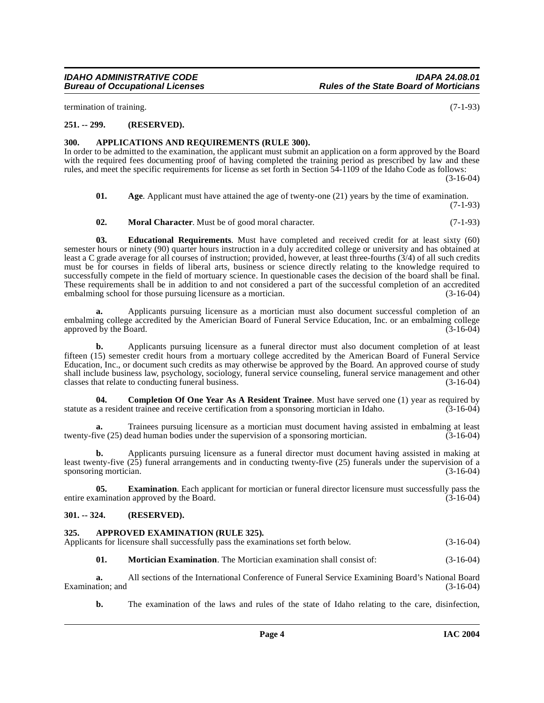termination of training. (7-1-93)

#### <span id="page-3-0"></span>**251. -- 299. (RESERVED).**

#### <span id="page-3-5"></span><span id="page-3-1"></span>**300. APPLICATIONS AND REQUIREMENTS (RULE 300).**

In order to be admitted to the examination, the applicant must submit an application on a form approved by the Board with the required fees documenting proof of having completed the training period as prescribed by law and these rules, and meet the specific requirements for license as set forth in Section 54-1109 of the Idaho Code as follows:

(3-16-04)

<span id="page-3-4"></span>**01.** Age. Applicant must have attained the age of twenty-one (21) years by the time of examination. (7-1-93)

<span id="page-3-9"></span><span id="page-3-8"></span>**02. Moral Character**. Must be of good moral character. (7-1-93)

**03. Educational Requirements**. Must have completed and received credit for at least sixty (60) semester hours or ninety (90) quarter hours instruction in a duly accredited college or university and has obtained at least a C grade average for all courses of instruction; provided, however, at least three-fourths (3/4) of all such credits must be for courses in fields of liberal arts, business or science directly relating to the knowledge required to successfully compete in the field of mortuary science. In questionable cases the decision of the board shall be final. These requirements shall be in addition to and not considered a part of the successful completion of an accredited embalming school for those pursuing licensure as a mortician. (3-16-04) embalming school for those pursuing licensure as a mortician.

**a.** Applicants pursuing licensure as a mortician must also document successful completion of an embalming college accredited by the Americian Board of Funeral Service Education, Inc. or an embalming college approved by the Board. (3-16-04)

**b.** Applicants pursuing licensure as a funeral director must also document completion of at least fifteen (15) semester credit hours from a mortuary college accredited by the American Board of Funeral Service Education, Inc., or document such credits as may otherwise be approved by the Board. An approved course of study shall include business law, psychology, sociology, funeral service counseling, funeral service management and other classes that relate to conducting funeral business. (3-16-04)

<span id="page-3-7"></span>**04. Completion Of One Year As A Resident Trainee**. Must have served one (1) year as required by a resident trainee and receive certification from a sponsoring mortician in Idaho. (3-16-04) statute as a resident trainee and receive certification from a sponsoring mortician in Idaho.

**a.** Trainees pursuing licensure as a mortician must document having assisted in embalming at least ive (25) dead human bodies under the supervision of a sponsoring mortician. (3-16-04) twenty-five (25) dead human bodies under the supervision of a sponsoring mortician.

**b.** Applicants pursuing licensure as a funeral director must document having assisted in making at least twenty-five (25) funeral arrangements and in conducting twenty-five (25) funerals under the supervision of a sponsoring mortician. (3-16-04)

**05. Examination**. Each applicant for mortician or funeral director licensure must successfully pass the amination approved by the Board. (3-16-04) entire examination approved by the Board.

#### <span id="page-3-2"></span>**301. -- 324. (RESERVED).**

#### <span id="page-3-6"></span><span id="page-3-3"></span>**325. APPROVED EXAMINATION (RULE 325).**

| Applicants for licensure shall successfully pass the examinations set forth below. | $(3-16-04)$ |
|------------------------------------------------------------------------------------|-------------|
|------------------------------------------------------------------------------------|-------------|

**01. Mortician Examination**. The Mortician examination shall consist of: (3-16-04)

**a.** All sections of the International Conference of Funeral Service Examining Board's National Board (3-16-04) Examination; and

**b.** The examination of the laws and rules of the state of Idaho relating to the care, disinfection,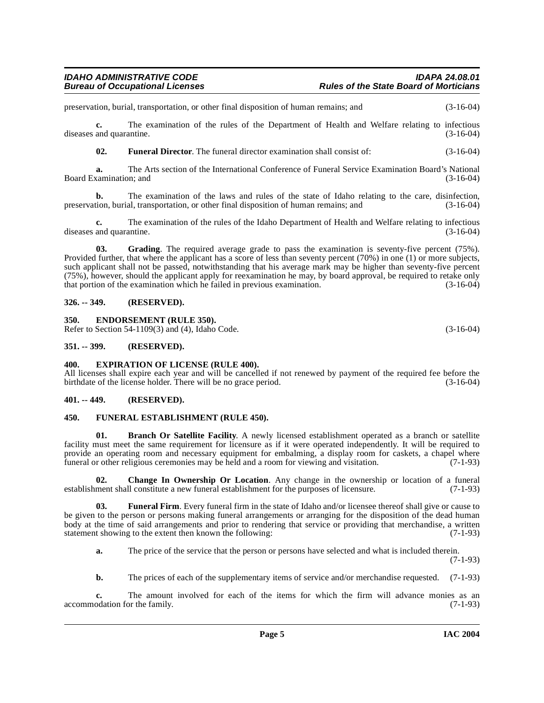preservation, burial, transportation, or other final disposition of human remains; and (3-16-04)

**c.** The examination of the rules of the Department of Health and Welfare relating to infectious diseases and quarantine. (3-16-04)

**02. Funeral Director**. The funeral director examination shall consist of: (3-16-04)

**a.** The Arts section of the International Conference of Funeral Service Examination Board's National (3-16-04) Board Examination; and

**b.** The examination of the laws and rules of the state of Idaho relating to the care, disinfection, tion, burial, transportation, or other final disposition of human remains; and (3-16-04) preservation, burial, transportation, or other final disposition of human remains; and

**c.** The examination of the rules of the Idaho Department of Health and Welfare relating to infectious diseases and quarantine. (3-16-04)

<span id="page-4-12"></span>**03. Grading**. The required average grade to pass the examination is seventy-five percent (75%). Provided further, that where the applicant has a score of less than seventy percent (70%) in one (1) or more subjects, such applicant shall not be passed, notwithstanding that his average mark may be higher than seventy-five percent (75%), however, should the applicant apply for reexamination he may, by board approval, be required to retake only that portion of the examination which he failed in previous examination. (3-16-04)

#### <span id="page-4-0"></span>**326. -- 349. (RESERVED).**

#### <span id="page-4-8"></span><span id="page-4-1"></span>**350. ENDORSEMENT (RULE 350).**

Refer to Section 54-1109(3) and (4), Idaho Code. (3-16-04)

#### <span id="page-4-2"></span>**351. -- 399. (RESERVED).**

#### <span id="page-4-9"></span><span id="page-4-3"></span>**400. EXPIRATION OF LICENSE (RULE 400).**

All licenses shall expire each year and will be cancelled if not renewed by payment of the required fee before the birthdate of the license holder. There will be no grace period. (3-16-04) birthdate of the license holder. There will be no grace period.

#### <span id="page-4-4"></span>**401. -- 449. (RESERVED).**

#### <span id="page-4-10"></span><span id="page-4-5"></span>**450. FUNERAL ESTABLISHMENT (RULE 450).**

<span id="page-4-6"></span>**01. Branch Or Satellite Facility**. A newly licensed establishment operated as a branch or satellite facility must meet the same requirement for licensure as if it were operated independently. It will be required to provide an operating room and necessary equipment for embalming, a display room for caskets, a chapel where funeral or other religious ceremonies may be held and a room for viewing and visitation. (7-1-93) funeral or other religious ceremonies may be held and a room for viewing and visitation.

<span id="page-4-7"></span>**02. Change In Ownership Or Location**. Any change in the ownership or location of a funeral establishment shall constitute a new funeral establishment for the purposes of licensure. (7-1-93)

**03. Funeral Firm**. Every funeral firm in the state of Idaho and/or licensee thereof shall give or cause to be given to the person or persons making funeral arrangements or arranging for the disposition of the dead human body at the time of said arrangements and prior to rendering that service or providing that merchandise, a written statement showing to the extent then known the following: (7-1-93)

<span id="page-4-11"></span>**a.** The price of the service that the person or persons have selected and what is included therein.

(7-1-93)

**b.** The prices of each of the supplementary items of service and/or merchandise requested. (7-1-93)

**c.** The amount involved for each of the items for which the firm will advance monies as an odation for the family. (7-1-93) accommodation for the family.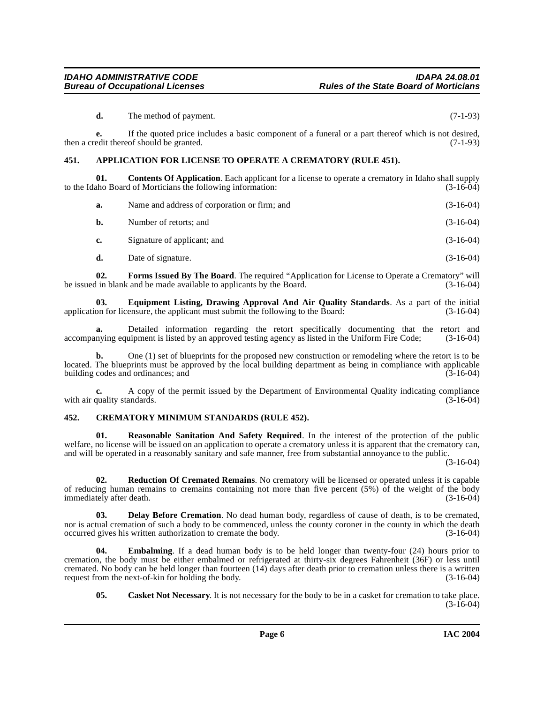**d.** The method of payment. (7-1-93)

**e.** If the quoted price includes a basic component of a funeral or a part thereof which is not desired, then a credit thereof should be granted. (7-1-93)

#### <span id="page-5-2"></span><span id="page-5-0"></span>**451. APPLICATION FOR LICENSE TO OPERATE A CREMATORY (RULE 451).**

**01. Contents Of Application**. Each applicant for a license to operate a crematory in Idaho shall supply to the Idaho Board of Morticians the following information: (3-16-04)

<span id="page-5-4"></span>

| а. | Name and address of corporation or firm; and | $(3-16-04)$ |
|----|----------------------------------------------|-------------|
| b. | Number of retorts; and                       | $(3-16-04)$ |
| c. | Signature of applicant; and                  | $(3-16-04)$ |
| d. | Date of signature.                           | $(3-16-04)$ |

<span id="page-5-8"></span>**02. Forms Issued By The Board**. The required "Application for License to Operate a Crematory" will be issued in blank and be made available to applicants by the Board. (3-16-04)

<span id="page-5-7"></span>**03. Equipment Listing, Drawing Approval And Air Quality Standards**. As a part of the initial on for licensure, the applicant must submit the following to the Board: (3-16-04) application for licensure, the applicant must submit the following to the Board:

**a.** Detailed information regarding the retort specifically documenting that the retort and nying equipment is listed by an approved testing agency as listed in the Uniform Fire Code; (3-16-04) accompanying equipment is listed by an approved testing agency as listed in the Uniform Fire Code;

**b.** One (1) set of blueprints for the proposed new construction or remodeling where the retort is to be located. The blueprints must be approved by the local building department as being in compliance with applicable building codes and ordinances; and  $(3-16-04)$ building codes and ordinances; and

**c.** A copy of the permit issued by the Department of Environmental Quality indicating compliance with air quality standards. (3-16-04) (3-16-04)

#### <span id="page-5-9"></span><span id="page-5-1"></span>**452. CREMATORY MINIMUM STANDARDS (RULE 452).**

<span id="page-5-10"></span>**01. Reasonable Sanitation And Safety Required**. In the interest of the protection of the public welfare, no license will be issued on an application to operate a crematory unless it is apparent that the crematory can, and will be operated in a reasonably sanitary and safe manner, free from substantial annoyance to the public.

(3-16-04)

<span id="page-5-11"></span>**02. Reduction Of Cremated Remains**. No crematory will be licensed or operated unless it is capable of reducing human remains to cremains containing not more than five percent  $(5%)$  of the weight of the body immediately after death.  $(3-16-04)$ immediately after death.

<span id="page-5-5"></span>**03. Delay Before Cremation**. No dead human body, regardless of cause of death, is to be cremated, nor is actual cremation of such a body to be commenced, unless the county coroner in the county in which the death occurred gives his written authorization to cremate the body. (3-16-04)

**04. Embalming**. If a dead human body is to be held longer than twenty-four (24) hours prior to cremation, the body must be either embalmed or refrigerated at thirty-six degrees Fahrenheit (36F) or less until cremated. No body can be held longer than fourteen (14) days after death prior to cremation unless there is a written request from the next-of-kin for holding the body. (3-16-04)

<span id="page-5-6"></span><span id="page-5-3"></span>**05.** Casket Not Necessary. It is not necessary for the body to be in a casket for cremation to take place.  $(3-16-04)$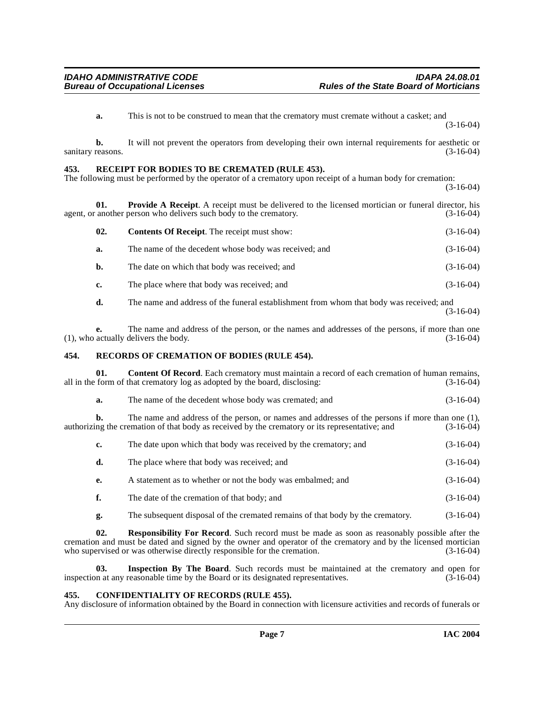**a.** This is not to be construed to mean that the crematory must cremate without a casket; and (3-16-04)

**b.** It will not prevent the operators from developing their own internal requirements for aesthetic or reasons. (3-16-04) sanitary reasons.

#### <span id="page-6-7"></span><span id="page-6-0"></span>**453. RECEIPT FOR BODIES TO BE CREMATED (RULE 453).**

The following must be performed by the operator of a crematory upon receipt of a human body for cremation: (3-16-04)

**01. Provide A Receipt**. A receipt must be delivered to the licensed mortician or funeral director, his another person who delivers such body to the crematory. (3-16-04) agent, or another person who delivers such body to the crematory.

<span id="page-6-6"></span>

| 02. | <b>Contents Of Receipt.</b> The receipt must show:    | $(3-16-04)$ |
|-----|-------------------------------------------------------|-------------|
| а.  | The name of the decedent whose body was received; and | $(3-16-04)$ |
| b.  | The date on which that body was received; and         | $(3-16-04)$ |
| c.  | The place where that body was received; and           | $(3-16-04)$ |
|     |                                                       |             |

**d.** The name and address of the funeral establishment from whom that body was received; and (3-16-04)

**e.** The name and address of the person, or the names and addresses of the persons, if more than one actually delivers the body. (3-16-04)  $(1)$ , who actually delivers the body.

#### <span id="page-6-8"></span><span id="page-6-1"></span>**454. RECORDS OF CREMATION OF BODIES (RULE 454).**

**01. Content Of Record**. Each crematory must maintain a record of each cremation of human remains, form of that crematory log as adopted by the board, disclosing: (3-16-04) all in the form of that crematory log as adopted by the board, disclosing:

<span id="page-6-4"></span>**a.** The name of the decedent whose body was cremated; and  $(3-16-04)$ 

**b.** The name and address of the person, or names and addresses of the persons if more than one (1), ng the cremation of that body as received by the crematory or its representative; and (3-16-04) authorizing the cremation of that body as received by the crematory or its representative; and

|  | The date upon which that body was received by the crematory; and | $(3-16-04)$ |
|--|------------------------------------------------------------------|-------------|
|--|------------------------------------------------------------------|-------------|

|  | The place where that body was received; and | $(3-16-04)$ |
|--|---------------------------------------------|-------------|
|--|---------------------------------------------|-------------|

- **e.** A statement as to whether or not the body was embalmed; and (3-16-04)
- **f.** The date of the cremation of that body; and (3-16-04)
- <span id="page-6-5"></span>**g.** The subsequent disposal of the cremated remains of that body by the crematory. (3-16-04)

**02. Responsibility For Record**. Such record must be made as soon as reasonably possible after the cremation and must be dated and signed by the owner and operator of the crematory and by the licensed mortician<br>who supervised or was otherwise directly responsible for the cremation. (3-16-04) who supervised or was otherwise directly responsible for the cremation.

**03.** Inspection By The Board. Such records must be maintained at the crematory and open for n at any reasonable time by the Board or its designated representatives. (3-16-04) inspection at any reasonable time by the Board or its designated representatives.

#### <span id="page-6-3"></span><span id="page-6-2"></span>**455. CONFIDENTIALITY OF RECORDS (RULE 455).**

Any disclosure of information obtained by the Board in connection with licensure activities and records of funerals or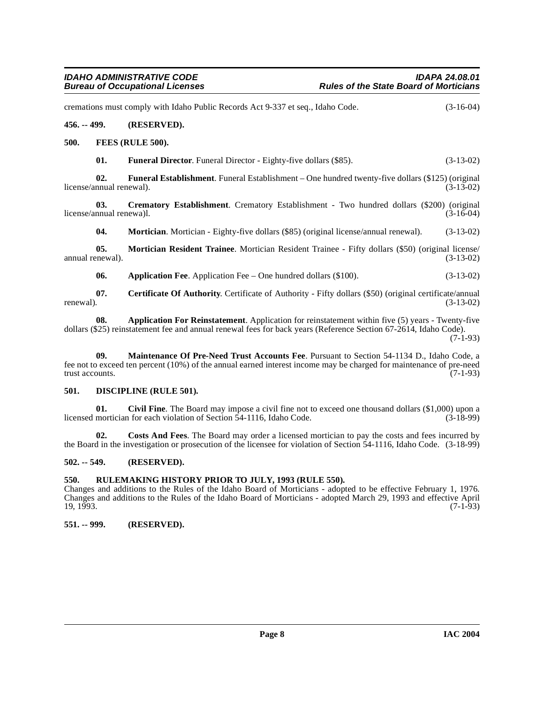<span id="page-7-12"></span><span id="page-7-11"></span><span id="page-7-10"></span><span id="page-7-8"></span><span id="page-7-1"></span><span id="page-7-0"></span>cremations must comply with Idaho Public Records Act 9-337 et seq., Idaho Code. (3-16-04) **456. -- 499. (RESERVED). 500. FEES (RULE 500). 01. Funeral Director**. Funeral Director - Eighty-five dollars (\$85). (3-13-02) **02. Funeral Establishment**. Funeral Establishment – One hundred twenty-five dollars (\$125) (original license/annual renewal). (3-13-02) **03. Crematory Establishment**. Crematory Establishment - Two hundred dollars (\$200) (original nnual renewa)l. (3-16-04) license/annual renewa)l. **04. Mortician**. Mortician - Eighty-five dollars (\$85) (original license/annual renewal). (3-13-02) **05. Mortician Resident Trainee**. Mortician Resident Trainee - Fifty dollars (\$50) (original license/<br>(3-13-02) (3-13-02) annual renewal). **06.** Application Fee. Application Fee – One hundred dollars (\$100). (3-13-02) **07.** Certificate Of Authority. Certificate of Authority - Fifty dollars (\$50) (original certificate/annual renewal).  $(3-13-02)$ renewal).  $(3-13-02)$ 

<span id="page-7-16"></span><span id="page-7-15"></span><span id="page-7-14"></span><span id="page-7-6"></span>**08. Application For Reinstatement**. Application for reinstatement within five (5) years - Twenty-five dollars (\$25) reinstatement fee and annual renewal fees for back years (Reference Section 67-2614, Idaho Code). (7-1-93)

<span id="page-7-13"></span>**09. Maintenance Of Pre-Need Trust Accounts Fee**. Pursuant to Section 54-1134 D., Idaho Code, a fee not to exceed ten percent (10%) of the annual earned interest income may be charged for maintenance of pre-need trust accounts.  $(7-1-93)$ 

#### <span id="page-7-9"></span><span id="page-7-2"></span>**501. DISCIPLINE (RULE 501).**

<span id="page-7-7"></span>**01.** Civil Fine. The Board may impose a civil fine not to exceed one thousand dollars (\$1,000) upon a mortician for each violation of Section 54-1116, Idaho Code. (3-18-99) licensed mortician for each violation of Section 54-1116, Idaho Code.

**02. Costs And Fees**. The Board may order a licensed mortician to pay the costs and fees incurred by the Board in the investigation or prosecution of the licensee for violation of Section 54-1116, Idaho Code. (3-18-99)

#### <span id="page-7-3"></span>**502. -- 549. (RESERVED).**

#### <span id="page-7-4"></span>**550. RULEMAKING HISTORY PRIOR TO JULY, 1993 (RULE 550).**

Changes and additions to the Rules of the Idaho Board of Morticians - adopted to be effective February 1, 1976. Changes and additions to the Rules of the Idaho Board of Morticians - adopted March 29, 1993 and effective April  $19, 1993.$  (7-1-93)

#### <span id="page-7-5"></span>**551. -- 999. (RESERVED).**